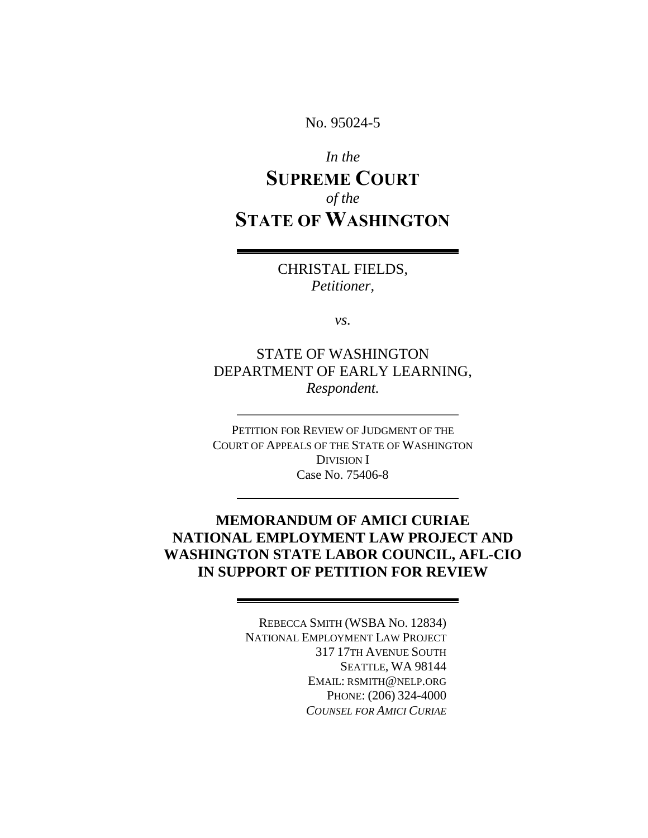No. 95024-5

# *In the* **SUPREME COURT** *of the* **STATE OF WASHINGTON**

CHRISTAL FIELDS, *Petitioner,*

*vs.*

STATE OF WASHINGTON DEPARTMENT OF EARLY LEARNING, *Respondent.*

PETITION FOR REVIEW OF JUDGMENT OF THE COURT OF APPEALS OF THE STATE OF WASHINGTON DIVISION I Case No. 75406-8

## **MEMORANDUM OF AMICI CURIAE NATIONAL EMPLOYMENT LAW PROJECT AND WASHINGTON STATE LABOR COUNCIL, AFL-CIO IN SUPPORT OF PETITION FOR REVIEW**

REBECCA SMITH (WSBA NO. 12834) NATIONAL EMPLOYMENT LAW PROJECT 317 17TH AVENUE SOUTH SEATTLE, WA 98144 EMAIL: RSMITH@NELP.ORG PHONE: (206) 324-4000 *COUNSEL FOR AMICI CURIAE*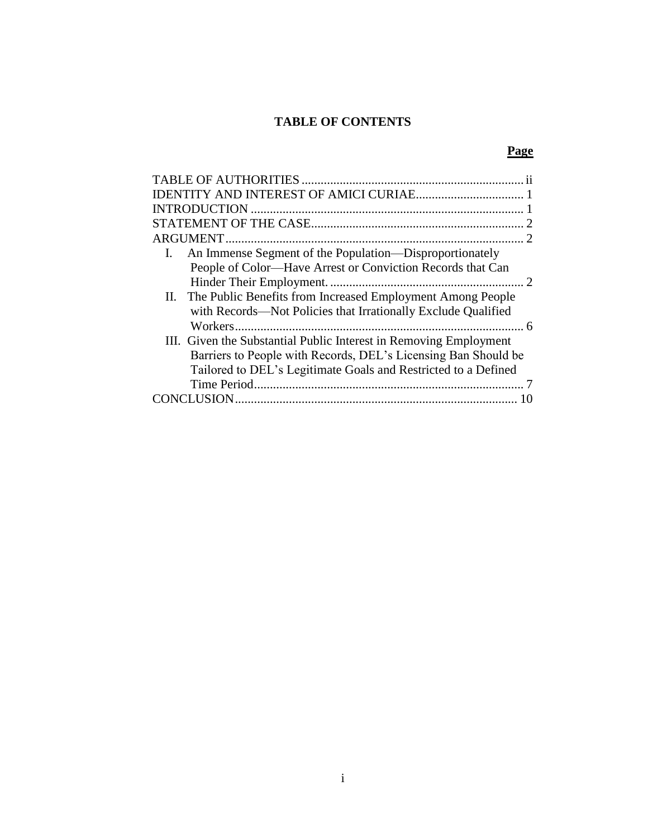## **TABLE OF CONTENTS**

## **Page**

| An Immense Segment of the Population—Disproportionately           |                             |
|-------------------------------------------------------------------|-----------------------------|
| People of Color—Have Arrest or Conviction Records that Can        |                             |
|                                                                   | $\mathcal{D}_{\mathcal{L}}$ |
| II. The Public Benefits from Increased Employment Among People    |                             |
| with Records—Not Policies that Irrationally Exclude Qualified     |                             |
|                                                                   |                             |
| III. Given the Substantial Public Interest in Removing Employment |                             |
| Barriers to People with Records, DEL's Licensing Ban Should be    |                             |
| Tailored to DEL's Legitimate Goals and Restricted to a Defined    |                             |
|                                                                   |                             |
|                                                                   |                             |
|                                                                   |                             |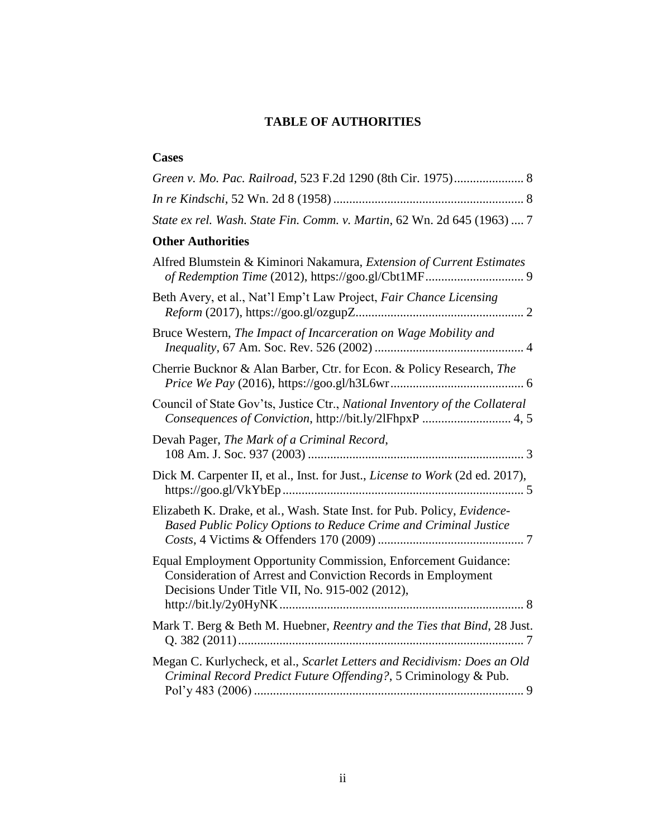## **TABLE OF AUTHORITIES**

<span id="page-2-0"></span>

| <b>Cases</b>                                                                                                                                                                     |
|----------------------------------------------------------------------------------------------------------------------------------------------------------------------------------|
| Green v. Mo. Pac. Railroad, 523 F.2d 1290 (8th Cir. 1975) 8                                                                                                                      |
|                                                                                                                                                                                  |
| State ex rel. Wash. State Fin. Comm. v. Martin, 62 Wn. 2d 645 (1963)  7                                                                                                          |
| <b>Other Authorities</b>                                                                                                                                                         |
| Alfred Blumstein & Kiminori Nakamura, Extension of Current Estimates<br>of Redemption Time (2012), https://goo.gl/Cbt1MF 9                                                       |
| Beth Avery, et al., Nat'l Emp't Law Project, Fair Chance Licensing                                                                                                               |
| Bruce Western, The Impact of Incarceration on Wage Mobility and                                                                                                                  |
| Cherrie Bucknor & Alan Barber, Ctr. for Econ. & Policy Research, The                                                                                                             |
| Council of State Gov'ts, Justice Ctr., National Inventory of the Collateral<br>Consequences of Conviction, http://bit.ly/2lFhpxP  4, 5                                           |
| Devah Pager, The Mark of a Criminal Record,                                                                                                                                      |
| Dick M. Carpenter II, et al., Inst. for Just., License to Work (2d ed. 2017),                                                                                                    |
| Elizabeth K. Drake, et al., Wash. State Inst. for Pub. Policy, Evidence-<br>Based Public Policy Options to Reduce Crime and Criminal Justice                                     |
| Equal Employment Opportunity Commission, Enforcement Guidance:<br>Consideration of Arrest and Conviction Records in Employment<br>Decisions Under Title VII, No. 915-002 (2012), |
| Mark T. Berg & Beth M. Huebner, Reentry and the Ties that Bind, 28 Just.                                                                                                         |
| Megan C. Kurlycheck, et al., Scarlet Letters and Recidivism: Does an Old<br>Criminal Record Predict Future Offending?, 5 Criminology & Pub.                                      |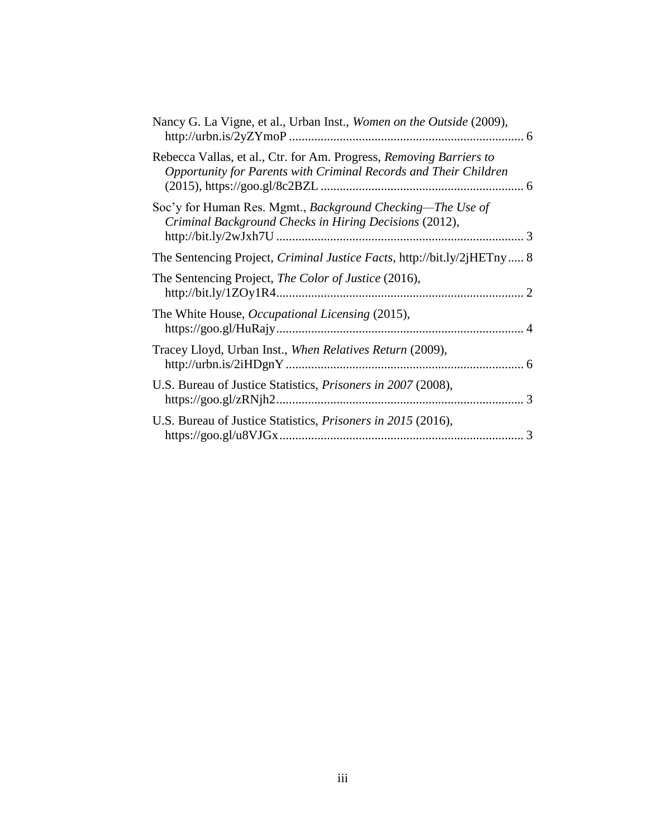| Nancy G. La Vigne, et al., Urban Inst., Women on the Outside (2009),                                                                    |               |
|-----------------------------------------------------------------------------------------------------------------------------------------|---------------|
| Rebecca Vallas, et al., Ctr. for Am. Progress, Removing Barriers to<br>Opportunity for Parents with Criminal Records and Their Children |               |
| Soc'y for Human Res. Mgmt., Background Checking—The Use of<br>Criminal Background Checks in Hiring Decisions (2012),                    |               |
| The Sentencing Project, <i>Criminal Justice Facts</i> , http://bit.ly/2jHETny 8                                                         |               |
| The Sentencing Project, <i>The Color of Justice</i> (2016),                                                                             |               |
| The White House, <i>Occupational Licensing</i> (2015),                                                                                  |               |
| Tracey Lloyd, Urban Inst., When Relatives Return (2009),                                                                                |               |
| U.S. Bureau of Justice Statistics, <i>Prisoners in 2007</i> (2008),                                                                     |               |
| U.S. Bureau of Justice Statistics, <i>Prisoners in 2015</i> (2016),                                                                     | $\mathcal{R}$ |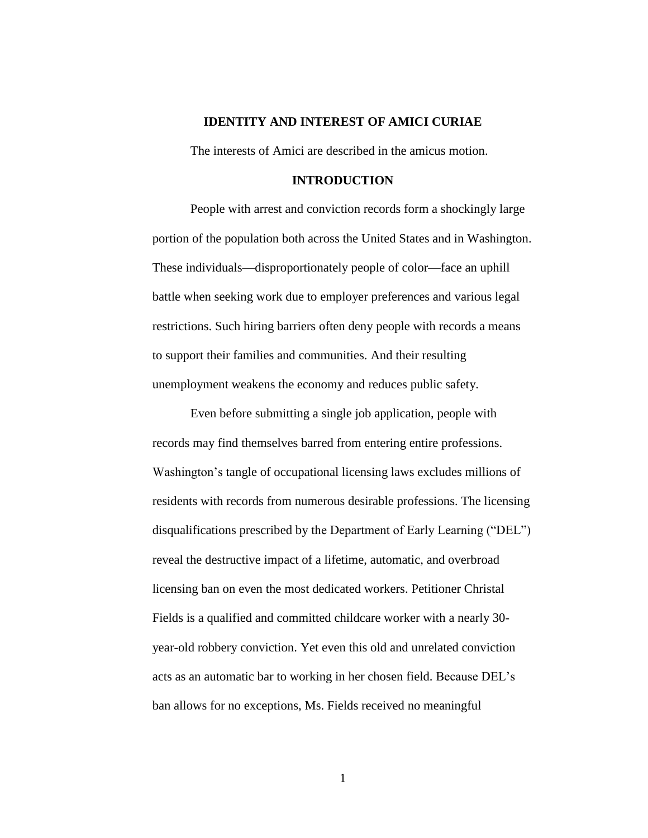#### **IDENTITY AND INTEREST OF AMICI CURIAE**

<span id="page-4-0"></span>The interests of Amici are described in the amicus motion.

#### **INTRODUCTION**

<span id="page-4-1"></span>People with arrest and conviction records form a shockingly large portion of the population both across the United States and in Washington. These individuals—disproportionately people of color—face an uphill battle when seeking work due to employer preferences and various legal restrictions. Such hiring barriers often deny people with records a means to support their families and communities. And their resulting unemployment weakens the economy and reduces public safety.

Even before submitting a single job application, people with records may find themselves barred from entering entire professions. Washington's tangle of occupational licensing laws excludes millions of residents with records from numerous desirable professions. The licensing disqualifications prescribed by the Department of Early Learning ("DEL") reveal the destructive impact of a lifetime, automatic, and overbroad licensing ban on even the most dedicated workers. Petitioner Christal Fields is a qualified and committed childcare worker with a nearly 30 year-old robbery conviction. Yet even this old and unrelated conviction acts as an automatic bar to working in her chosen field. Because DEL's ban allows for no exceptions, Ms. Fields received no meaningful

1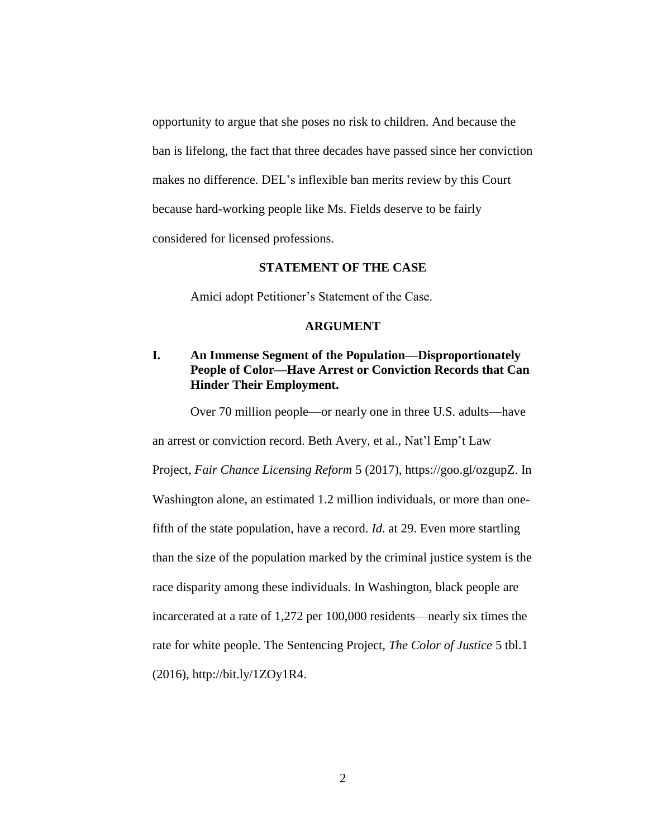opportunity to argue that she poses no risk to children. And because the ban is lifelong, the fact that three decades have passed since her conviction makes no difference. DEL's inflexible ban merits review by this Court because hard-working people like Ms. Fields deserve to be fairly considered for licensed professions.

#### **STATEMENT OF THE CASE**

<span id="page-5-0"></span>Amici adopt Petitioner's Statement of the Case.

#### **ARGUMENT**

#### <span id="page-5-2"></span><span id="page-5-1"></span>**I. An Immense Segment of the Population—Disproportionately People of Color—Have Arrest or Conviction Records that Can Hinder Their Employment.**

Over 70 million people—or nearly one in three U.S. adults—have

an arrest or conviction record. Beth Avery, et al., Nat'l Emp't Law

Project, *Fair Chance Licensing Reform* 5 (2017), https://goo.gl/ozgupZ. In Washington alone, an estimated 1.2 million individuals, or more than onefifth of the state population, have a record. *Id.* at 29. Even more startling than the size of the population marked by the criminal justice system is the race disparity among these individuals. In Washington, black people are incarcerated at a rate of 1,272 per 100,000 residents—nearly six times the rate for white people. The Sentencing Project, *The Color of Justice* 5 tbl.1 (2016), http://bit.ly/1ZOy1R4.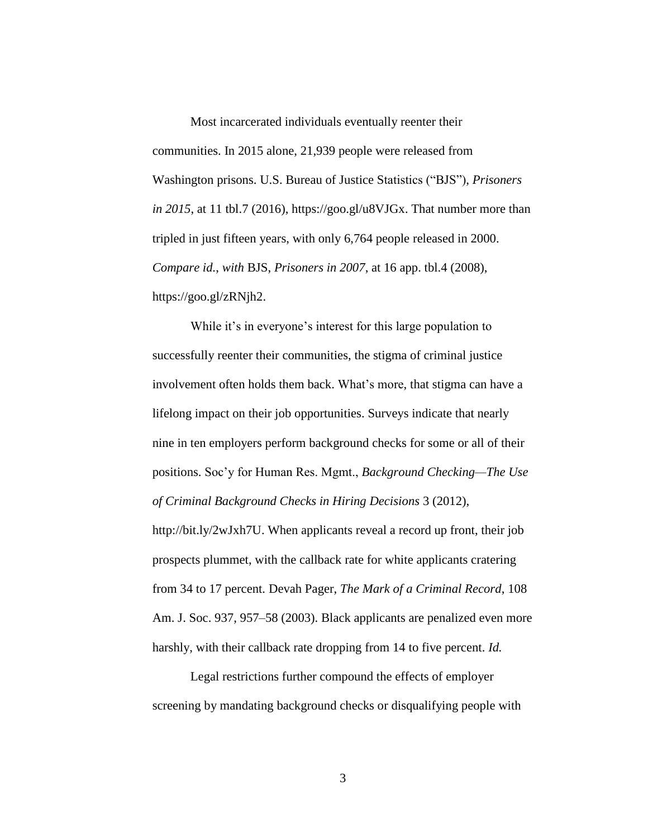Most incarcerated individuals eventually reenter their communities. In 2015 alone, 21,939 people were released from Washington prisons. U.S. Bureau of Justice Statistics ("BJS"), *Prisoners in 2015*, at 11 tbl.7 (2016), https://goo.gl/u8VJGx. That number more than tripled in just fifteen years, with only 6,764 people released in 2000. *Compare id.*, *with* BJS, *Prisoners in 2007*, at 16 app. tbl.4 (2008), https://goo.gl/zRNjh2.

While it's in everyone's interest for this large population to successfully reenter their communities, the stigma of criminal justice involvement often holds them back. What's more, that stigma can have a lifelong impact on their job opportunities. Surveys indicate that nearly nine in ten employers perform background checks for some or all of their positions. Soc'y for Human Res. Mgmt., *Background Checking—The Use of Criminal Background Checks in Hiring Decisions* 3 (2012),

http://bit.ly/2wJxh7U. When applicants reveal a record up front, their job prospects plummet, with the callback rate for white applicants cratering from 34 to 17 percent. Devah Pager, *The Mark of a Criminal Record*, 108 Am. J. Soc. 937, 957–58 (2003). Black applicants are penalized even more harshly, with their callback rate dropping from 14 to five percent. *Id.*

Legal restrictions further compound the effects of employer screening by mandating background checks or disqualifying people with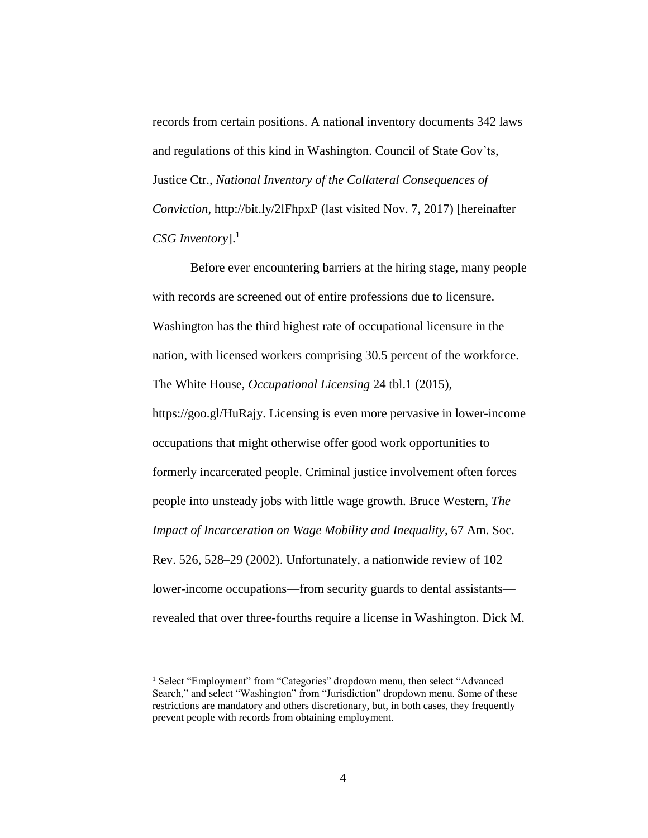records from certain positions. A national inventory documents 342 laws and regulations of this kind in Washington. Council of State Gov'ts, Justice Ctr., *National Inventory of the Collateral Consequences of Conviction*, http://bit.ly/2lFhpxP (last visited Nov. 7, 2017) [hereinafter *CSG Inventory*]. 1

Before ever encountering barriers at the hiring stage, many people with records are screened out of entire professions due to licensure. Washington has the third highest rate of occupational licensure in the nation, with licensed workers comprising 30.5 percent of the workforce. The White House, *Occupational Licensing* 24 tbl.1 (2015), https://goo.gl/HuRajy. Licensing is even more pervasive in lower-income occupations that might otherwise offer good work opportunities to formerly incarcerated people. Criminal justice involvement often forces people into unsteady jobs with little wage growth. Bruce Western, *The Impact of Incarceration on Wage Mobility and Inequality*, 67 Am. Soc. Rev. 526, 528–29 (2002). Unfortunately, a nationwide review of 102 lower-income occupations—from security guards to dental assistants revealed that over three-fourths require a license in Washington. Dick M.

<sup>&</sup>lt;sup>1</sup> Select "Employment" from "Categories" dropdown menu, then select "Advanced" Search," and select "Washington" from "Jurisdiction" dropdown menu. Some of these restrictions are mandatory and others discretionary, but, in both cases, they frequently prevent people with records from obtaining employment.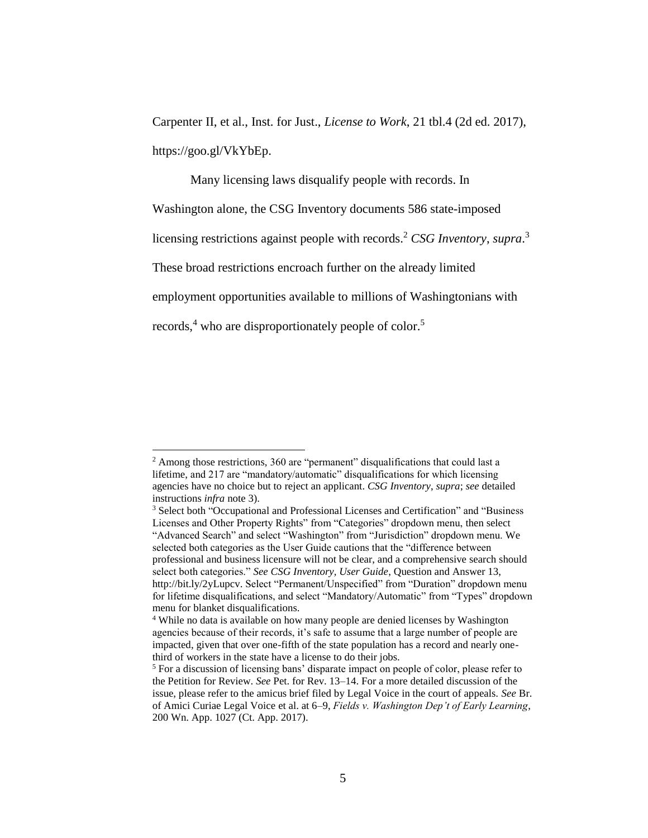Carpenter II, et al., Inst. for Just., *License to Work*, 21 tbl.4 (2d ed. 2017), https://goo.gl/VkYbEp.

Many licensing laws disqualify people with records. In Washington alone, the CSG Inventory documents 586 state-imposed licensing restrictions against people with records.<sup>2</sup> CSG Inventory, supra.<sup>3</sup> These broad restrictions encroach further on the already limited employment opportunities available to millions of Washingtonians with records,<sup>4</sup> who are disproportionately people of color.<sup>5</sup>

<sup>&</sup>lt;sup>2</sup> Among those restrictions, 360 are "permanent" disqualifications that could last a lifetime, and 217 are "mandatory/automatic" disqualifications for which licensing agencies have no choice but to reject an applicant. *CSG Inventory*, *supra*; *see* detailed instructions *infra* note 3).

<sup>3</sup> Select both "Occupational and Professional Licenses and Certification" and "Business Licenses and Other Property Rights" from "Categories" dropdown menu, then select "Advanced Search" and select "Washington" from "Jurisdiction" dropdown menu. We selected both categories as the User Guide cautions that the "difference between professional and business licensure will not be clear, and a comprehensive search should select both categories." *See CSG Inventory, User Guide*, Question and Answer 13, http://bit.ly/2yLupcv. Select "Permanent/Unspecified" from "Duration" dropdown menu for lifetime disqualifications, and select "Mandatory/Automatic" from "Types" dropdown menu for blanket disqualifications.

<sup>4</sup> While no data is available on how many people are denied licenses by Washington agencies because of their records, it's safe to assume that a large number of people are impacted, given that over one-fifth of the state population has a record and nearly onethird of workers in the state have a license to do their jobs.

<sup>5</sup> For a discussion of licensing bans' disparate impact on people of color, please refer to the Petition for Review. *See* Pet. for Rev. 13–14. For a more detailed discussion of the issue, please refer to the amicus brief filed by Legal Voice in the court of appeals. *See* Br. of Amici Curiae Legal Voice et al. at 6–9, *Fields v. Washington Dep't of Early Learning*, 200 Wn. App. 1027 (Ct. App. 2017).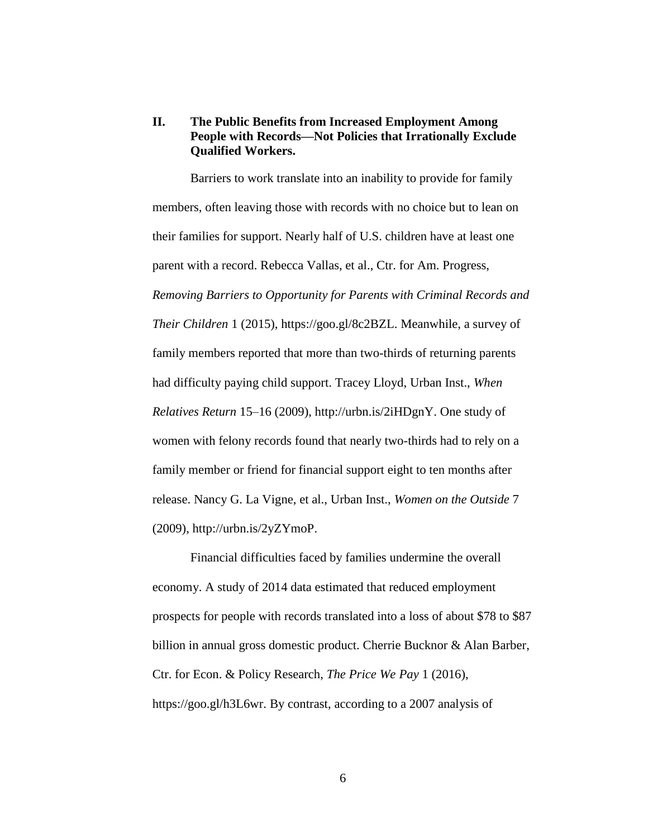#### <span id="page-9-0"></span>**II. The Public Benefits from Increased Employment Among People with Records—Not Policies that Irrationally Exclude Qualified Workers.**

Barriers to work translate into an inability to provide for family members, often leaving those with records with no choice but to lean on their families for support. Nearly half of U.S. children have at least one parent with a record. Rebecca Vallas, et al., Ctr. for Am. Progress, *Removing Barriers to Opportunity for Parents with Criminal Records and Their Children* 1 (2015), https://goo.gl/8c2BZL. Meanwhile, a survey of family members reported that more than two-thirds of returning parents had difficulty paying child support. Tracey Lloyd, Urban Inst., *When Relatives Return* 15–16 (2009), http://urbn.is/2iHDgnY. One study of women with felony records found that nearly two-thirds had to rely on a family member or friend for financial support eight to ten months after release. Nancy G. La Vigne, et al., Urban Inst., *Women on the Outside* 7 (2009), http://urbn.is/2yZYmoP.

Financial difficulties faced by families undermine the overall economy. A study of 2014 data estimated that reduced employment prospects for people with records translated into a loss of about \$78 to \$87 billion in annual gross domestic product. Cherrie Bucknor & Alan Barber, Ctr. for Econ. & Policy Research, *The Price We Pay* 1 (2016), https://goo.gl/h3L6wr. By contrast, according to a 2007 analysis of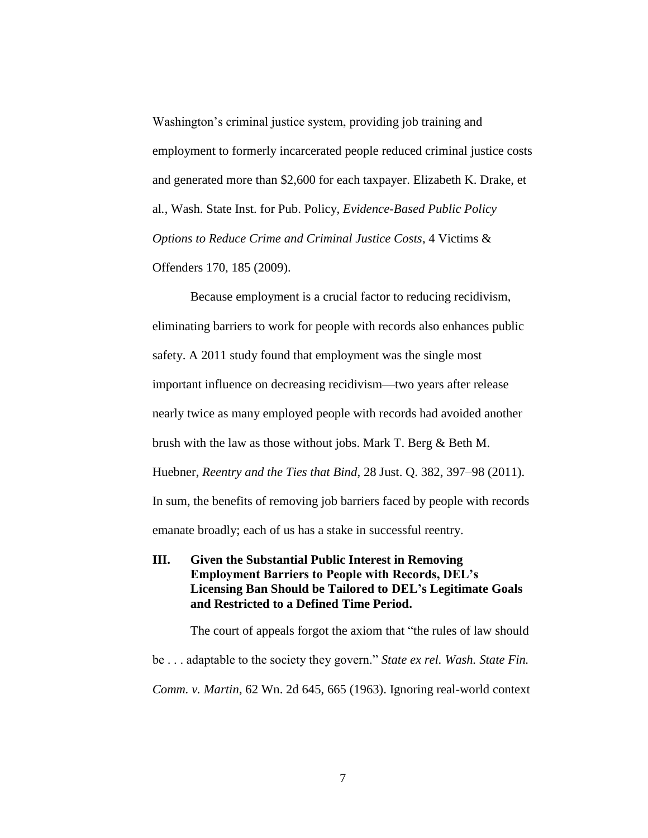Washington's criminal justice system, providing job training and employment to formerly incarcerated people reduced criminal justice costs and generated more than \$2,600 for each taxpayer. Elizabeth K. Drake, et al*.*, Wash. State Inst. for Pub. Policy, *Evidence-Based Public Policy Options to Reduce Crime and Criminal Justice Costs*, 4 Victims & Offenders 170, 185 (2009).

Because employment is a crucial factor to reducing recidivism, eliminating barriers to work for people with records also enhances public safety. A 2011 study found that employment was the single most important influence on decreasing recidivism—two years after release nearly twice as many employed people with records had avoided another brush with the law as those without jobs. Mark T. Berg & Beth M. Huebner, *Reentry and the Ties that Bind*, 28 Just. Q. 382, 397–98 (2011). In sum, the benefits of removing job barriers faced by people with records emanate broadly; each of us has a stake in successful reentry.

<span id="page-10-0"></span>**III. Given the Substantial Public Interest in Removing Employment Barriers to People with Records, DEL's Licensing Ban Should be Tailored to DEL's Legitimate Goals and Restricted to a Defined Time Period.**

The court of appeals forgot the axiom that "the rules of law should be . . . adaptable to the society they govern." *State ex rel. Wash. State Fin. Comm. v. Martin*, 62 Wn. 2d 645, 665 (1963). Ignoring real-world context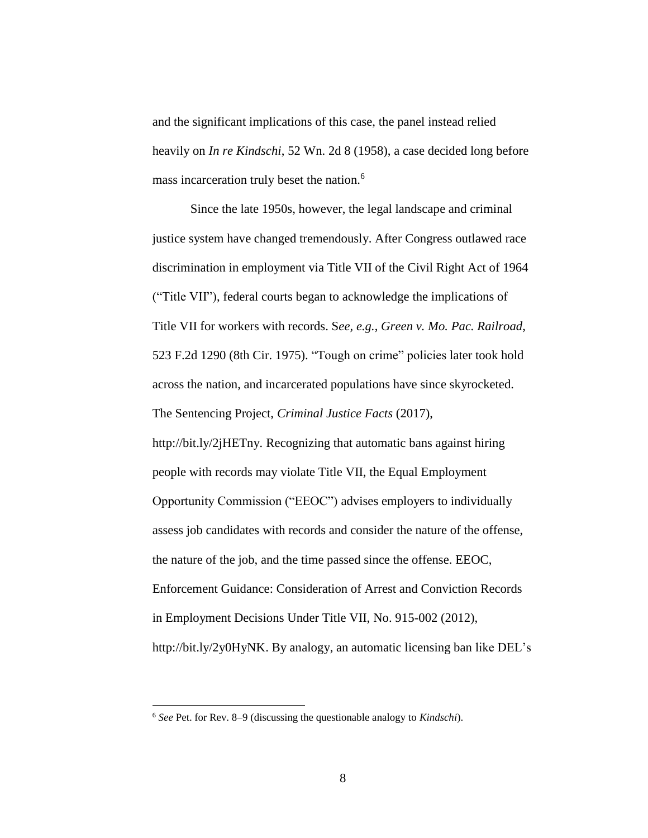and the significant implications of this case, the panel instead relied heavily on *In re Kindschi*, 52 Wn. 2d 8 (1958), a case decided long before mass incarceration truly beset the nation. 6

Since the late 1950s, however, the legal landscape and criminal justice system have changed tremendously. After Congress outlawed race discrimination in employment via Title VII of the Civil Right Act of 1964 ("Title VII"), federal courts began to acknowledge the implications of Title VII for workers with records. S*ee, e.g.*, *Green v. Mo. Pac. Railroad*, 523 F.2d 1290 (8th Cir. 1975). "Tough on crime" policies later took hold across the nation, and incarcerated populations have since skyrocketed. The Sentencing Project, *Criminal Justice Facts* (2017),

http://bit.ly/2jHETny*.* Recognizing that automatic bans against hiring people with records may violate Title VII, the Equal Employment Opportunity Commission ("EEOC") advises employers to individually assess job candidates with records and consider the nature of the offense, the nature of the job, and the time passed since the offense. EEOC, Enforcement Guidance: Consideration of Arrest and Conviction Records in Employment Decisions Under Title VII, No. 915-002 (2012), http://bit.ly/2y0HyNK. By analogy, an automatic licensing ban like DEL's

<sup>6</sup> *See* Pet. for Rev. 8–9 (discussing the questionable analogy to *Kindschi*).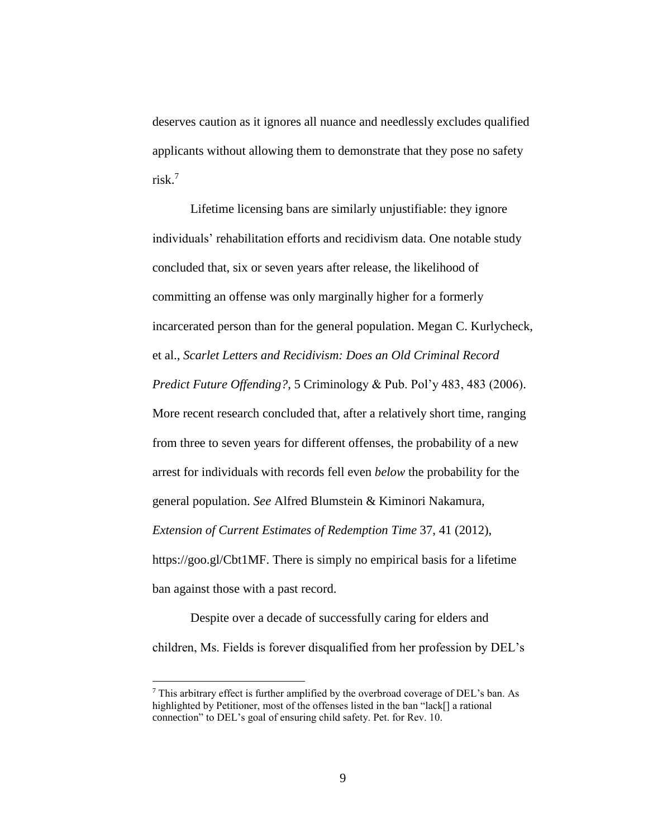deserves caution as it ignores all nuance and needlessly excludes qualified applicants without allowing them to demonstrate that they pose no safety risk. 7

Lifetime licensing bans are similarly unjustifiable: they ignore individuals' rehabilitation efforts and recidivism data. One notable study concluded that, six or seven years after release, the likelihood of committing an offense was only marginally higher for a formerly incarcerated person than for the general population. Megan C. Kurlycheck, et al., *Scarlet Letters and Recidivism: Does an Old Criminal Record Predict Future Offending?*, 5 Criminology & Pub. Pol'y 483, 483 (2006). More recent research concluded that, after a relatively short time, ranging from three to seven years for different offenses, the probability of a new arrest for individuals with records fell even *below* the probability for the general population. *See* Alfred Blumstein & Kiminori Nakamura, *Extension of Current Estimates of Redemption Time* 37, 41 (2012), https://goo.gl/Cbt1MF. There is simply no empirical basis for a lifetime ban against those with a past record.

Despite over a decade of successfully caring for elders and children, Ms. Fields is forever disqualified from her profession by DEL's

<sup>7</sup> This arbitrary effect is further amplified by the overbroad coverage of DEL's ban. As highlighted by Petitioner, most of the offenses listed in the ban "lack[] a rational connection" to DEL's goal of ensuring child safety. Pet. for Rev. 10.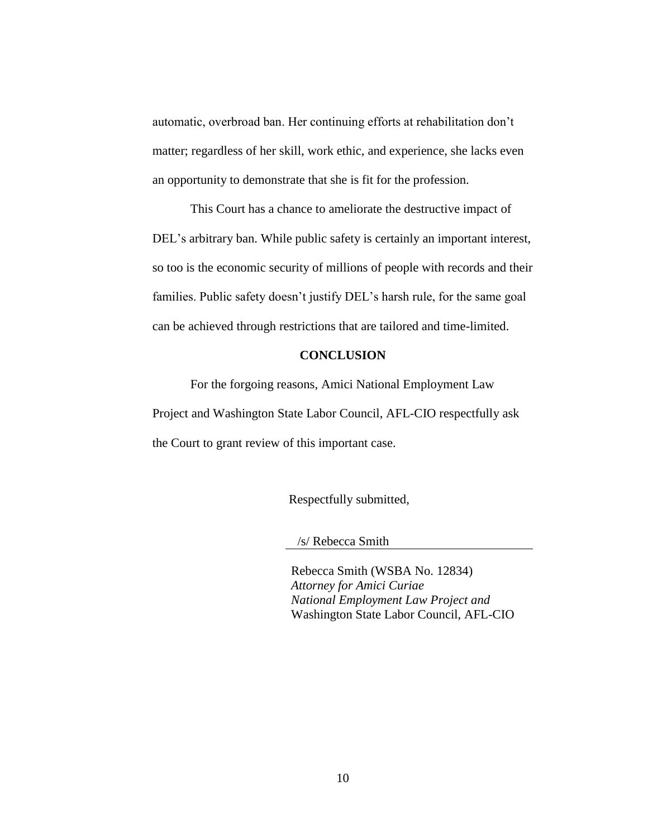automatic, overbroad ban. Her continuing efforts at rehabilitation don't matter; regardless of her skill, work ethic, and experience, she lacks even an opportunity to demonstrate that she is fit for the profession.

This Court has a chance to ameliorate the destructive impact of DEL's arbitrary ban. While public safety is certainly an important interest, so too is the economic security of millions of people with records and their families. Public safety doesn't justify DEL's harsh rule, for the same goal can be achieved through restrictions that are tailored and time-limited.

#### **CONCLUSION**

<span id="page-13-0"></span>For the forgoing reasons, Amici National Employment Law Project and Washington State Labor Council, AFL-CIO respectfully ask the Court to grant review of this important case.

Respectfully submitted,

/s/ Rebecca Smith

Rebecca Smith (WSBA No. 12834) *Attorney for Amici Curiae National Employment Law Project and*  Washington State Labor Council, AFL-CIO